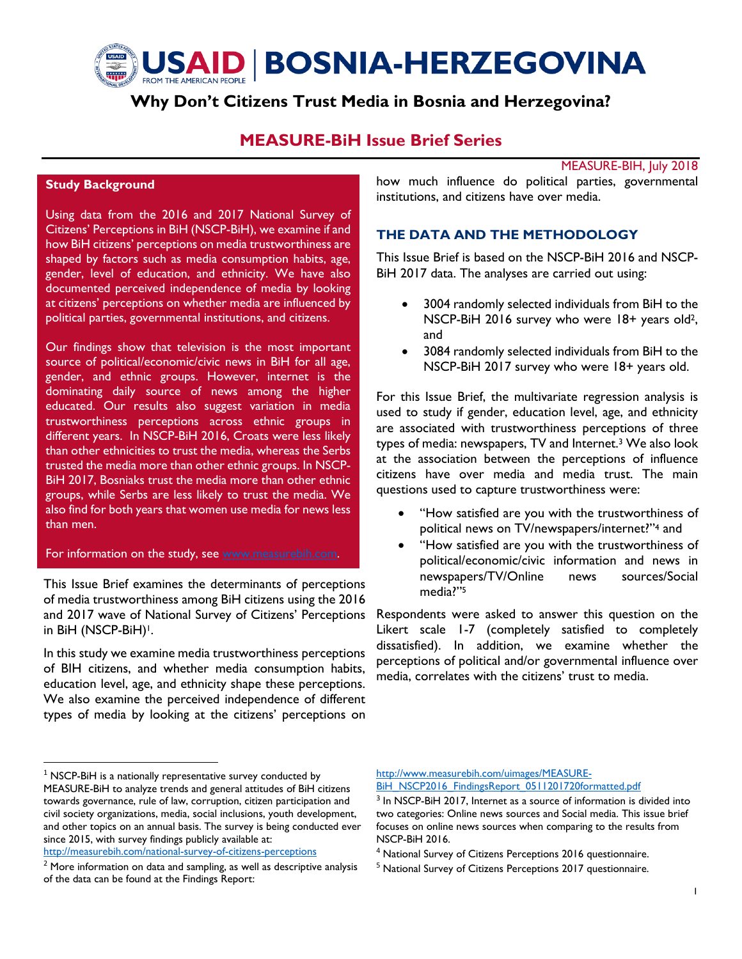

# **Why Don't Citizens Trust Media in Bosnia and Herzegovina?**

# **MEASURE-BiH Issue Brief Series**

MEASURE-BIH, July 2018

## **Study Background**

Using data from the 2016 and 2017 National Survey of Citizens' Perceptions in BiH (NSCP-BiH), we examine if and how BiH citizens' perceptions on media trustworthiness are shaped by factors such as media consumption habits, age, gender, level of education, and ethnicity. We have also documented perceived independence of media by looking at citizens' perceptions on whether media are influenced by political parties, governmental institutions, and citizens.

Our findings show that television is the most important source of political/economic/civic news in BiH for all age, gender, and ethnic groups. However, internet is the dominating daily source of news among the higher educated. Our results also suggest variation in media trustworthiness perceptions across ethnic groups in different years. In NSCP-BiH 2016, Croats were less likely than other ethnicities to trust the media, whereas the Serbs trusted the media more than other ethnic groups. In NSCP-BiH 2017, Bosniaks trust the media more than other ethnic groups, while Serbs are less likely to trust the media. We also find for both years that women use media for news less than men.

#### For information on the study, see [www.measurebih.com.](http://www.measurebih.com/)

This Issue Brief examines the determinants of perceptions of media trustworthiness among BiH citizens using the 2016 and 2017 wave of National Survey of Citizens' Perceptions in BiH (NSCP-BiH)<sup>1</sup>.

In this study we examine media trustworthiness perceptions of BIH citizens, and whether media consumption habits, education level, age, and ethnicity shape these perceptions. We also examine the perceived independence of different types of media by looking at the citizens' perceptions on

<http://measurebih.com/national-survey-of-citizens-perceptions>

 $\overline{\phantom{a}}$ 

how much influence do political parties, governmental institutions, and citizens have over media.

# **THE DATA AND THE METHODOLOGY**

This Issue Brief is based on the NSCP-BiH 2016 and NSCP-BiH 2017 data. The analyses are carried out using:

- 3004 randomly selected individuals from BiH to the NSCP-BiH 2016 survey who were 18+ years old2, and
- 3084 randomly selected individuals from BiH to the NSCP-BiH 2017 survey who were 18+ years old.

For this Issue Brief, the multivariate regression analysis is used to study if gender, education level, age, and ethnicity are associated with trustworthiness perceptions of three types of media: newspapers, TV and Internet. <sup>3</sup> We also look at the association between the perceptions of influence citizens have over media and media trust. The main questions used to capture trustworthiness were:

- "How satisfied are you with the trustworthiness of political news on TV/newspapers/internet?" <sup>4</sup> and
- "How satisfied are you with the trustworthiness of political/economic/civic information and news in newspapers/TV/Online news sources/Social media?"<sup>5</sup>

Respondents were asked to answer this question on the Likert scale 1-7 (completely satisfied to completely dissatisfied). In addition, we examine whether the perceptions of political and/or governmental influence over media, correlates with the citizens' trust to media.

[http://www.measurebih.com/uimages/MEASURE-](http://www.measurebih.com/uimages/MEASURE-BiH_NSCP2016_FindingsReport_0511201720formatted.pdf)

[BiH\\_NSCP2016\\_FindingsReport\\_0511201720formatted.pdf](http://www.measurebih.com/uimages/MEASURE-BiH_NSCP2016_FindingsReport_0511201720formatted.pdf)

<sup>4</sup> National Survey of Citizens Perceptions 2016 questionnaire.

 $1$  NSCP-BiH is a nationally representative survey conducted by MEASURE-BiH to analyze trends and general attitudes of BiH citizens towards governance, rule of law, corruption, citizen participation and civil society organizations, media, social inclusions, youth development, and other topics on an annual basis. The survey is being conducted ever since 2015, with survey findings publicly available at:

<sup>&</sup>lt;sup>2</sup> More information on data and sampling, as well as descriptive analysis of the data can be found at the Findings Report:

<sup>&</sup>lt;sup>3</sup> In NSCP-BiH 2017, Internet as a source of information is divided into two categories: Online news sources and Social media. This issue brief focuses on online news sources when comparing to the results from NSCP-BiH 2016.

<sup>&</sup>lt;sup>5</sup> National Survey of Citizens Perceptions 2017 questionnaire.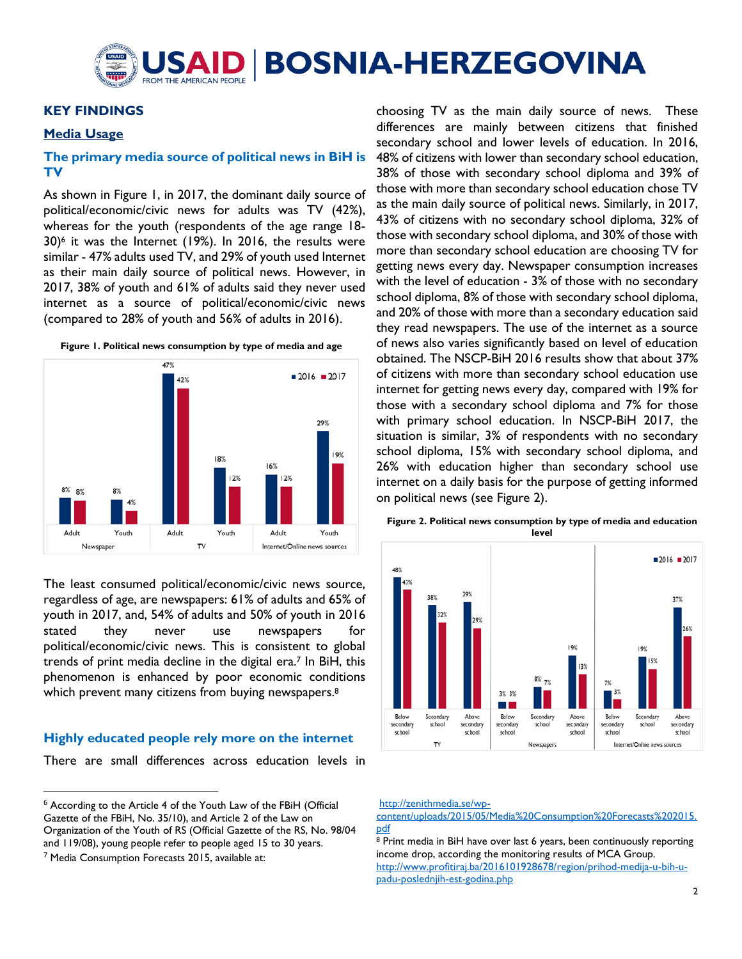

## **KEY FINDINGS**

#### **Media Usage**

## **The primary media source of political news in BiH is TV**

As shown in Figure 1, in 2017, the dominant daily source of political/economic/civic news for adults was TV (42%), whereas for the youth (respondents of the age range 18- 30)<sup>6</sup> it was the Internet (19%). In 2016, the results were similar - 47% adults used TV, and 29% of youth used Internet as their main daily source of political news. However, in 2017, 38% of youth and 61% of adults said they never used internet as a source of political/economic/civic news (compared to 28% of youth and 56% of adults in 2016).





The least consumed political/economic/civic news source, regardless of age, are newspapers: 61% of adults and 65% of youth in 2017, and, 54% of adults and 50% of youth in 2016 stated they never use newspapers for political/economic/civic news. This is consistent to global trends of print media decline in the digital era. <sup>7</sup> In BiH, this phenomenon is enhanced by poor economic conditions which prevent many citizens from buying newspapers.<sup>8</sup>

#### **Highly educated people rely more on the internet**

There are small differences across education levels in

 $\overline{a}$ 

choosing TV as the main daily source of news. These differences are mainly between citizens that finished secondary school and lower levels of education. In 2016, 48% of citizens with lower than secondary school education, 38% of those with secondary school diploma and 39% of those with more than secondary school education chose TV as the main daily source of political news. Similarly, in 2017, 43% of citizens with no secondary school diploma, 32% of those with secondary school diploma, and 30% of those with more than secondary school education are choosing TV for getting news every day. Newspaper consumption increases with the level of education - 3% of those with no secondary school diploma, 8% of those with secondary school diploma, and 20% of those with more than a secondary education said they read newspapers. The use of the internet as a source of news also varies significantly based on level of education obtained. The NSCP-BiH 2016 results show that about 37% of citizens with more than secondary school education use internet for getting news every day, compared with 19% for those with a secondary school diploma and 7% for those with primary school education. In NSCP-BiH 2017, the situation is similar, 3% of respondents with no secondary school diploma, 15% with secondary school diploma, and 26% with education higher than secondary school use internet on a daily basis for the purpose of getting informed on political news (see Figure 2).



**Figure 2. Political news consumption by type of media and education level**

[http://zenithmedia.se/wp-](http://zenithmedia.se/wp-content/uploads/2015/05/Media%20Consumption%20Forecasts%202015.pdf)

[content/uploads/2015/05/Media%20Consumption%20Forecasts%202015.](http://zenithmedia.se/wp-content/uploads/2015/05/Media%20Consumption%20Forecasts%202015.pdf) [pdf](http://zenithmedia.se/wp-content/uploads/2015/05/Media%20Consumption%20Forecasts%202015.pdf)

<sup>8</sup> Print media in BiH have over last 6 years, been continuously reporting income drop, according the monitoring results of MCA Group. [http://www.profitiraj.ba/2016101928678/region/prihod-medija-u-bih-u](http://www.profitiraj.ba/2016101928678/region/prihod-medija-u-bih-u-padu-poslednjih-est-godina.php)[padu-poslednjih-est-godina.php](http://www.profitiraj.ba/2016101928678/region/prihod-medija-u-bih-u-padu-poslednjih-est-godina.php)

<sup>6</sup> According to the Article 4 of the Youth Law of the FBiH (Official Gazette of the FBiH, No. 35/10), and Article 2 of the Law on Organization of the Youth of RS (Official Gazette of the RS, No. 98/04 and 119/08), young people refer to people aged 15 to 30 years. <sup>7</sup> Media Consumption Forecasts 2015, available at: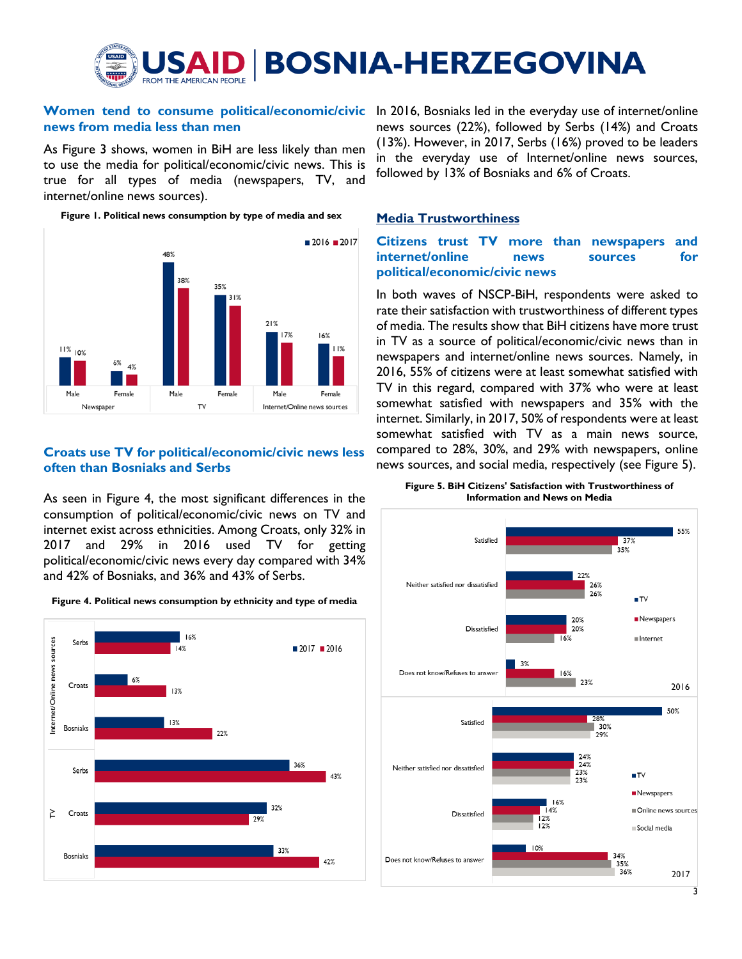

# **news from media less than men**

As Figure 3 shows, women in BiH are less likely than men to use the media for political/economic/civic news. This is true for all types of media (newspapers, TV, and internet/online news sources).

**Figure 1. Political news consumption by type of media and sex**



# **Croats use TV for political/economic/civic news less often than Bosniaks and Serbs**

As seen in Figure 4, the most significant differences in the consumption of political/economic/civic news on TV and internet exist across ethnicities. Among Croats, only 32% in 2017 and 29% in 2016 used TV for getting political/economic/civic news every day compared with 34% and 42% of Bosniaks, and 36% and 43% of Serbs.





**Women tend to consume political/economic/civic** In 2016, Bosniaks led in the everyday use of internet/online news sources (22%), followed by Serbs (14%) and Croats (13%). However, in 2017, Serbs (16%) proved to be leaders in the everyday use of Internet/online news sources, followed by 13% of Bosniaks and 6% of Croats.

# **Media Trustworthiness**

# **Citizens trust TV more than newspapers and internet/online news sources for political/economic/civic news**

In both waves of NSCP-BiH, respondents were asked to rate their satisfaction with trustworthiness of different types of media. The results show that BiH citizens have more trust in TV as a source of political/economic/civic news than in newspapers and internet/online news sources. Namely, in 2016, 55% of citizens were at least somewhat satisfied with TV in this regard, compared with 37% who were at least somewhat satisfied with newspapers and 35% with the internet. Similarly, in 2017, 50% of respondents were at least somewhat satisfied with TV as a main news source, compared to 28%, 30%, and 29% with newspapers, online news sources, and social media, respectively (see Figure 5).

**Figure 5. BiH Citizens' Satisfaction with Trustworthiness of Information and News on Media**

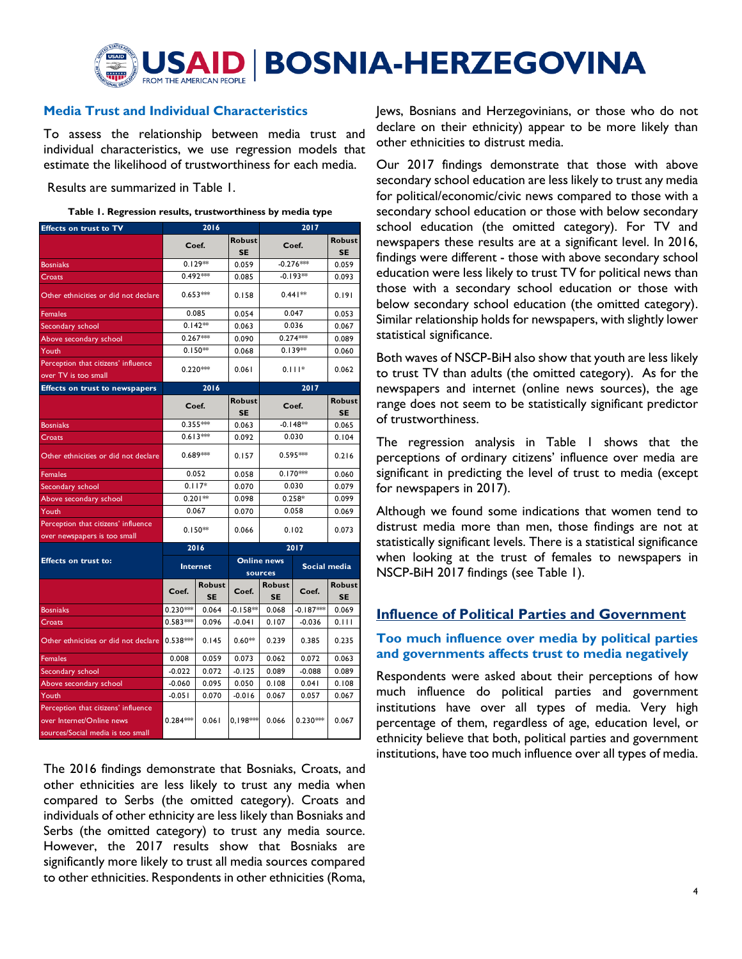

# **Media Trust and Individual Characteristics**

To assess the relationship between media trust and individual characteristics, we use regression models that estimate the likelihood of trustworthiness for each media.

Results are summarized in Table 1.

| <b>Effects on trust to TV</b>         |            | 2016                         |                    |                            |              |                     |  |
|---------------------------------------|------------|------------------------------|--------------------|----------------------------|--------------|---------------------|--|
|                                       | Coef.      |                              | <b>Robust</b>      |                            | Coef.        | <b>Robust</b>       |  |
|                                       |            |                              | <b>SE</b>          |                            |              | <b>SE</b>           |  |
| Bosniaks                              |            | $0.129**$                    | 0.059              | $-0.276$ **                |              | 0.059               |  |
| Croats                                | $0.492***$ |                              | 0.085              | $-0.193**$                 |              | 0.093               |  |
| Other ethnicities or did not declare  | $0.653***$ |                              | 0.158              | $0.441**$                  |              | 0.191               |  |
| <b>Females</b>                        | 0.085      |                              | 0.054              | 0.047                      |              | 0.053               |  |
| Secondary school                      | $0.142**$  |                              | 0.063              | 0.036                      |              | 0.067               |  |
| Above secondary school                | $0.267***$ |                              | 0.090              | $0.274***$                 |              | 0.089               |  |
| Youth                                 | $0.150**$  |                              | 0.068              | $0.139**$                  |              | 0.060               |  |
| Perception that citizens' influence   |            |                              |                    |                            |              |                     |  |
| over TV is too small                  | $0.220***$ |                              | 0.061              | $0.111*$                   |              | 0.062               |  |
| <b>Effects on trust to newspapers</b> |            | 2016                         |                    |                            | 2017         |                     |  |
|                                       |            | Robust<br>Coef.<br><b>SE</b> |                    | Coef.                      |              | Robust<br>SE        |  |
| <b>Bosniaks</b>                       | $0.355***$ |                              | 0.063              |                            | $-0.148**$   | 0.065               |  |
| Croats                                | $0.613***$ |                              | 0.092              |                            | 0.030        | 0.104               |  |
| Other ethnicities or did not declare  | $0.689***$ |                              | 0.157              | $0.595***$                 |              | 0.216               |  |
| <b>Females</b>                        | 0.052      |                              | 0.058              | $0.170***$                 |              | 0.060               |  |
| Secondary school                      | $0.117*$   |                              | 0.070              | 0.030                      |              | 0.079               |  |
| Above secondary school                |            | $0.201**$                    | 0.098              | $0.258*$                   |              | 0.099               |  |
| Youth                                 | 0.067      |                              | 0.070              | 0.058                      |              | 0.069               |  |
| Perception that citizens' influence   |            |                              |                    |                            |              |                     |  |
| over newspapers is too small          |            | $0.150**$                    | 0.066              | 0.102                      |              | 0.073               |  |
|                                       |            | 2016                         |                    | 2017                       |              |                     |  |
| <b>Effects on trust to:</b>           |            |                              | <b>Online news</b> |                            |              |                     |  |
|                                       |            | <b>Internet</b>              | sources            |                            | Social media |                     |  |
|                                       | Coef.      | <b>Robust</b><br>SE          | Coef.              | <b>Robust</b><br><b>SE</b> | Coef.        | Robust<br><b>SE</b> |  |
| Bosniaks                              | $0.230***$ | 0.064                        | -0.158**           | 0.068                      | -0.187***    | 0.069               |  |
| Croats                                | $0.583***$ | 0.096                        | $-0.041$           | 0.107                      | $-0.036$     | 0.111               |  |
| Other ethnicities or did not declare  | $0.538***$ | 0.145                        | $0.60**$           | 0.239                      | 0.385        | 0.235               |  |
| <b>Females</b>                        | 0.008      | 0.059                        | 0.073              | 0.062                      | 0.072        | 0.063               |  |
| Secondary school                      | $-0.022$   | 0.072                        | $-0.125$           | 0.089                      | $-0.088$     | 0.089               |  |
| Above secondary school                | $-0.060$   | 0.095                        | 0.050              | 0.108                      | 0.041        | 0.108               |  |
| Youth                                 | $-0.051$   | 0.070                        | $-0.016$           | 0.067                      | 0.057        | 0.067               |  |
| Perception that citizens' influence   |            |                              |                    |                            |              |                     |  |
| over Internet/Online news             | $0.284***$ | 0.061                        | $0,198***$         | 0.066                      | $0.230***$   | 0.067               |  |
| sources/Social media is too small     |            |                              |                    |                            |              |                     |  |

|  | Table 1. Regression results, trustworthiness by media type |  |  |
|--|------------------------------------------------------------|--|--|
|  |                                                            |  |  |

The 2016 findings demonstrate that Bosniaks, Croats, and other ethnicities are less likely to trust any media when compared to Serbs (the omitted category). Croats and individuals of other ethnicity are less likely than Bosniaks and Serbs (the omitted category) to trust any media source. However, the 2017 results show that Bosniaks are significantly more likely to trust all media sources compared to other ethnicities. Respondents in other ethnicities (Roma,

Jews, Bosnians and Herzegovinians, or those who do not declare on their ethnicity) appear to be more likely than other ethnicities to distrust media.

Our 2017 findings demonstrate that those with above secondary school education are less likely to trust any media for political/economic/civic news compared to those with a secondary school education or those with below secondary school education (the omitted category). For TV and newspapers these results are at a significant level. In 2016, findings were different - those with above secondary school education were less likely to trust TV for political news than those with a secondary school education or those with below secondary school education (the omitted category). Similar relationship holds for newspapers, with slightly lower statistical significance.

Both waves of NSCP-BiH also show that youth are less likely to trust TV than adults (the omitted category). As for the newspapers and internet (online news sources), the age range does not seem to be statistically significant predictor of trustworthiness.

The regression analysis in Table 1 shows that the perceptions of ordinary citizens' influence over media are significant in predicting the level of trust to media (except for newspapers in 2017).

Although we found some indications that women tend to distrust media more than men, those findings are not at statistically significant levels. There is a statistical significance when looking at the trust of females to newspapers in NSCP-BiH 2017 findings (see Table 1).

## **Influence of Political Parties and Government**

# **Too much influence over media by political parties and governments affects trust to media negatively**

Respondents were asked about their perceptions of how much influence do political parties and government institutions have over all types of media. Very high percentage of them, regardless of age, education level, or ethnicity believe that both, political parties and government institutions, have too much influence over all types of media.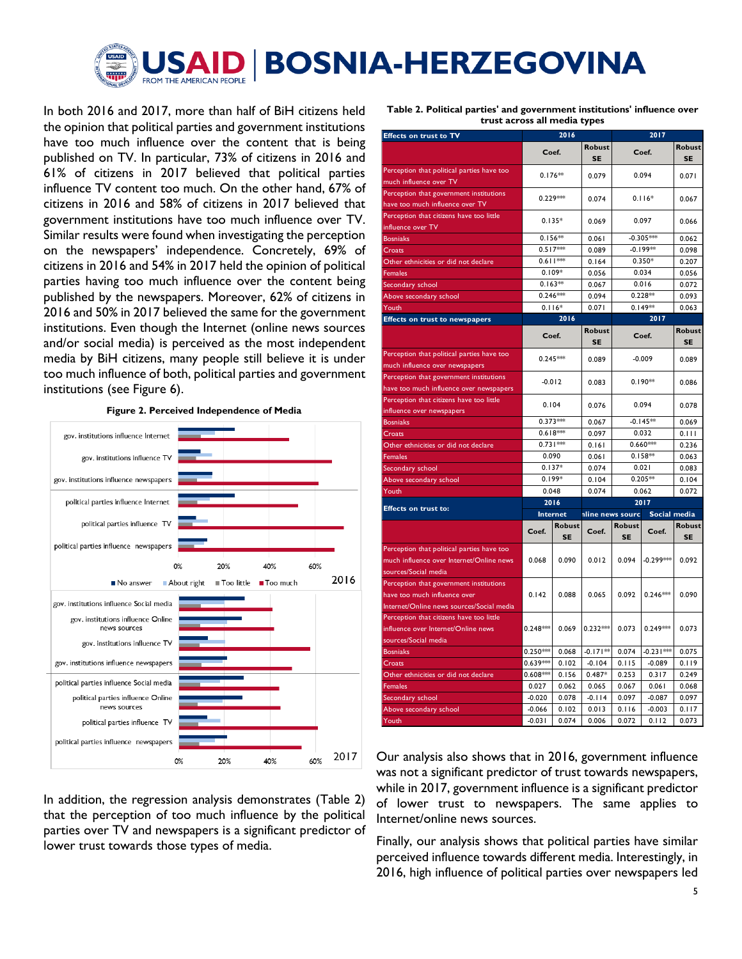

In both 2016 and 2017, more than half of BiH citizens held the opinion that political parties and government institutions have too much influence over the content that is being published on TV. In particular, 73% of citizens in 2016 and 61% of citizens in 2017 believed that political parties influence TV content too much. On the other hand, 67% of citizens in 2016 and 58% of citizens in 2017 believed that government institutions have too much influence over TV. Similar results were found when investigating the perception on the newspapers' independence. Concretely, 69% of citizens in 2016 and 54% in 2017 held the opinion of political parties having too much influence over the content being published by the newspapers. Moreover, 62% of citizens in 2016 and 50% in 2017 believed the same for the government institutions. Even though the Internet (online news sources and/or social media) is perceived as the most independent media by BiH citizens, many people still believe it is under too much influence of both, political parties and government institutions (see Figure 6).





**Table 2. Political parties' and government institutions' influence over trust across all media types**

|                                                                                    |                   | 2016                |                     | 2017                |              |                     |  |
|------------------------------------------------------------------------------------|-------------------|---------------------|---------------------|---------------------|--------------|---------------------|--|
|                                                                                    | Coef.             |                     | <b>Robust</b><br>SE | Coef.               |              | Robust<br>SE        |  |
| Perception that political parties have too<br>much influence over TV               | $0.176***$        |                     | 0.079               | 0.094               |              | 0.071               |  |
| Perception that government institutions<br>have too much influence over TV         | $0.229***$        |                     | 0.074               | $0.116*$            |              | 0.067               |  |
| Perception that citizens have too little<br>influence over TV                      |                   | $0.135*$            |                     | 0.097               |              | 0.066               |  |
| <b>Bosniaks</b>                                                                    | $0.156**$         |                     | 0.061               | $-0.305***$         |              | 0.062               |  |
| Croats                                                                             | $0.517***$        |                     | 0.089               | $-0.199**$          |              | 0.098               |  |
| Other ethnicities or did not declare                                               | $0.611***$        |                     | 0.164               |                     | $0.350*$     | 0.207               |  |
| Females                                                                            | $0.109*$          |                     | 0.056               |                     | 0.034        | 0.056               |  |
| Secondary school                                                                   | $0.163**$         |                     | 0.067               | 0.016               |              | 0.072               |  |
| Above secondary school                                                             | $0.246***$        |                     | 0.094<br>0.071      | $0.228**$           |              | 0.093               |  |
| Youth                                                                              |                   | $0.116*$            |                     |                     | $0.149**$    | 0.063               |  |
| <b>Effects on trust to newspapers</b>                                              |                   | 2016                |                     | 2017                |              |                     |  |
|                                                                                    | Coef.             |                     | Robust<br><b>SE</b> |                     | Coef.        | Robust<br><b>SE</b> |  |
| Perception that political parties have too<br>much influence over newspapers       | $0.245***$        |                     | 0.089               |                     | $-0.009$     | 0.089               |  |
| Perception that government institutions<br>have too much influence over newspapers | $-0.012$          |                     | 0.083               |                     | $0.190**$    | 0.086               |  |
| Perception that citizens have too little<br>influence over newspapers              | 0.104             |                     | 0.076               | 0.094               |              | 0.078               |  |
| <b>Bosniaks</b>                                                                    | $0.373***$        |                     | 0.067               |                     | $-0.145**$   | 0.069               |  |
| Croats                                                                             | $0.618***$        |                     | 0.097               |                     | 0.032        | 0.111               |  |
| Other ethnicities or did not declare                                               | $0.731***$        |                     | 0.161               | $0.660***$          |              | 0.236               |  |
|                                                                                    | 0.090             |                     | 0.061               |                     | $0.158**$    | 0.063               |  |
| Females                                                                            | $0.137*$<br>0.074 |                     |                     | 0.021               |              | 0.083               |  |
| Secondary school                                                                   |                   |                     |                     |                     |              |                     |  |
| Above secondary school                                                             | $0.199*$          |                     | 0.104               |                     | $0.205**$    | 0.104               |  |
| Youth                                                                              | 0.048             |                     | 0.074               |                     | 0.062        | 0.072               |  |
| <b>Effects on trust to:</b>                                                        | 2016              |                     |                     |                     | 2017         |                     |  |
|                                                                                    | Internet          |                     | nline news sourc    |                     | Social media |                     |  |
|                                                                                    | Coef.             | Robust<br><b>SE</b> | Coef.               | Robust<br><b>SE</b> | Coef.        | Robust<br>SE        |  |
| Perception that political parties have too                                         |                   |                     |                     |                     |              |                     |  |
| much influence over Internet/Online news                                           | 0.068             | 0.090               | 0.012               | 0.094               | $-0.299***$  | 0.092               |  |
| sources/Social media                                                               |                   |                     |                     |                     |              |                     |  |
| Perception that government institutions                                            |                   |                     |                     |                     |              |                     |  |
| have too much influence over                                                       | 0.142             | 0.088               | 0.065               | 0.092               | $0.246***$   | 0.090               |  |
| Internet/Online news sources/Social media                                          |                   |                     |                     |                     |              |                     |  |
| Perception that citizens have too little                                           |                   |                     |                     |                     |              |                     |  |
| influence over Internet/Online news                                                | $0.248***$        | 0.069               | $0.232***$          | 0.073               | $0.249***$   | 0.073               |  |
| sources/Social media<br><b>Bosniaks</b>                                            | $0.250***$        | 0.068               | $-0.171**$          | 0.074               | $-0.231***$  | 0.075               |  |
| Croats                                                                             | $0.639***$        | 0.102               | $-0.104$            | 0.115               | $-0.089$     | 0.119               |  |
|                                                                                    | $0.608*$          | 0.156               | $0.487*$            | 0.253               | 0.317        | 0.249               |  |
| Other ethnicities or did not declare<br>Females                                    | 0.027             | 0.062               | 0.065               | 0.067               | 0.061        | 0.068               |  |
| Secondary school                                                                   | $-0.020$          | 0.078               | $-0.114$            | 0.097               | $-0.087$     | 0.097               |  |
| Above secondary school                                                             | $-0.066$          | 0.102               | 0.013               | 0.116               | $-0.003$     | 0.117               |  |

In addition, the regression analysis demonstrates (Table 2) that the perception of too much influence by the political parties over TV and newspapers is a significant predictor of lower trust towards those types of media.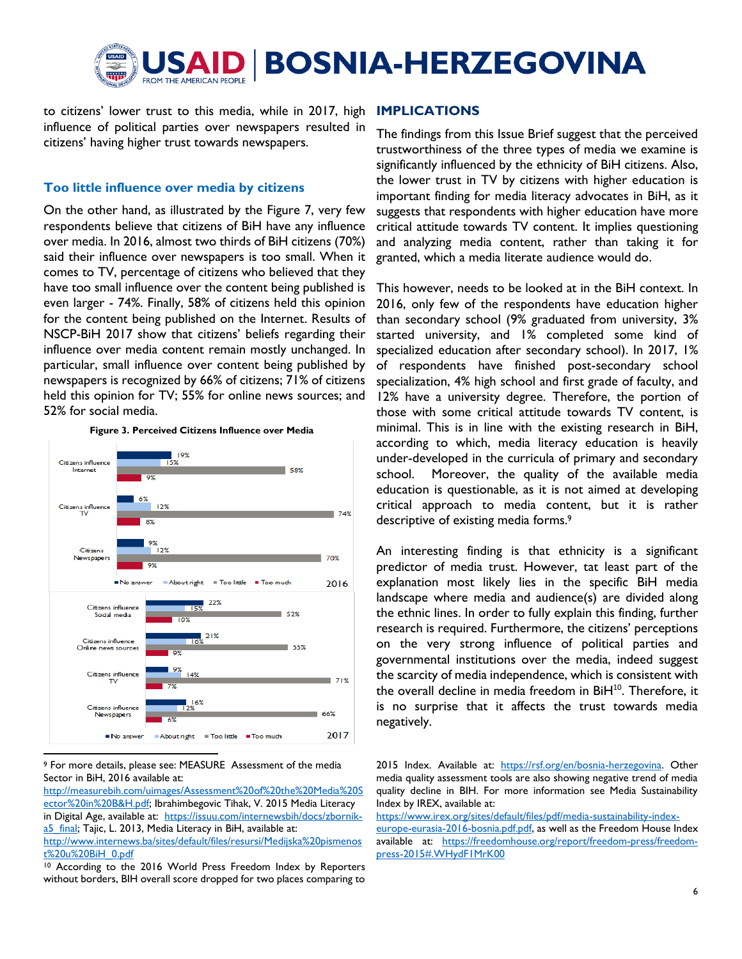

to citizens' lower trust to this media, while in 2017, high influence of political parties over newspapers resulted in citizens' having higher trust towards newspapers.

## **Too little influence over media by citizens**

On the other hand, as illustrated by the Figure 7, very few respondents believe that citizens of BiH have any influence over media. In 2016, almost two thirds of BiH citizens (70%) said their influence over newspapers is too small. When it comes to TV, percentage of citizens who believed that they have too small influence over the content being published is even larger - 74%. Finally, 58% of citizens held this opinion for the content being published on the Internet. Results of NSCP-BiH 2017 show that citizens' beliefs regarding their influence over media content remain mostly unchanged. In particular, small influence over content being published by newspapers is recognized by 66% of citizens; 71% of citizens held this opinion for TV; 55% for online news sources; and 52% for social media.



**Figure 3. Perceived Citizens Influence over Media**

#### <sup>9</sup> For more details, please see: MEASURE Assessment of the media Sector in BiH, 2016 available at:

l

[http://measurebih.com/uimages/Assessment%20of%20the%20Media%20S](http://measurebih.com/uimages/Assessment%20of%20the%20Media%20Sector%20in%20B&H.pdf) [ector%20in%20B&H.pdf;](http://measurebih.com/uimages/Assessment%20of%20the%20Media%20Sector%20in%20B&H.pdf) Ibrahimbegovic Tihak, V. 2015 Media Literacy in Digital Age, available at: [https://issuu.com/internewsbih/docs/zbornik](https://issuu.com/internewsbih/docs/zbornik-a5_final)[a5\\_final;](https://issuu.com/internewsbih/docs/zbornik-a5_final) Tajic, L. 2013, Media Literacy in BiH, available at: [http://www.internews.ba/sites/default/files/resursi/Medijska%20pismenos](http://www.internews.ba/sites/default/files/resursi/Medijska%20pismenost%20u%20BiH_0.pdf) [t%20u%20BiH\\_0.pdf](http://www.internews.ba/sites/default/files/resursi/Medijska%20pismenost%20u%20BiH_0.pdf)

<sup>10</sup> According to the 2016 World Press Freedom Index by Reporters without borders, BIH overall score dropped for two places comparing to

### **IMPLICATIONS**

The findings from this Issue Brief suggest that the perceived trustworthiness of the three types of media we examine is significantly influenced by the ethnicity of BiH citizens. Also, the lower trust in TV by citizens with higher education is important finding for media literacy advocates in BiH, as it suggests that respondents with higher education have more critical attitude towards TV content. It implies questioning and analyzing media content, rather than taking it for granted, which a media literate audience would do.

This however, needs to be looked at in the BiH context. In 2016, only few of the respondents have education higher than secondary school (9% graduated from university, 3% started university, and 1% completed some kind of specialized education after secondary school). In 2017, 1% of respondents have finished post-secondary school specialization, 4% high school and first grade of faculty, and 12% have a university degree. Therefore, the portion of those with some critical attitude towards TV content, is minimal. This is in line with the existing research in BiH, according to which, media literacy education is heavily under-developed in the curricula of primary and secondary school. Moreover, the quality of the available media education is questionable, as it is not aimed at developing critical approach to media content, but it is rather descriptive of existing media forms. 9

An interesting finding is that ethnicity is a significant predictor of media trust. However, tat least part of the explanation most likely lies in the specific BiH media landscape where media and audience(s) are divided along the ethnic lines. In order to fully explain this finding, further research is required. Furthermore, the citizens' perceptions on the very strong influence of political parties and governmental institutions over the media, indeed suggest the scarcity of media independence, which is consistent with the overall decline in media freedom in BiH<sup>10</sup>. Therefore, it is no surprise that it affects the trust towards media negatively.

2015 Index. Available at: [https://rsf.org/en/bosnia-herzegovina.](https://rsf.org/en/bosnia-herzegovina) Other media quality assessment tools are also showing negative trend of media quality decline in BIH. For more information see Media Sustainability Index by IREX, available at:

[https://www.irex.org/sites/default/files/pdf/media-sustainability-index](https://www.irex.org/sites/default/files/pdf/media-sustainability-index-europe-eurasia-2016-bosnia.pdf.pdf)[europe-eurasia-2016-bosnia.pdf.pdf,](https://www.irex.org/sites/default/files/pdf/media-sustainability-index-europe-eurasia-2016-bosnia.pdf.pdf) as well as the Freedom House Index available at: [https://freedomhouse.org/report/freedom-press/freedom](https://freedomhouse.org/report/freedom-press/freedom-press-2015#.WHydF1MrK00)[press-2015#.WHydF1MrK00](https://freedomhouse.org/report/freedom-press/freedom-press-2015#.WHydF1MrK00)